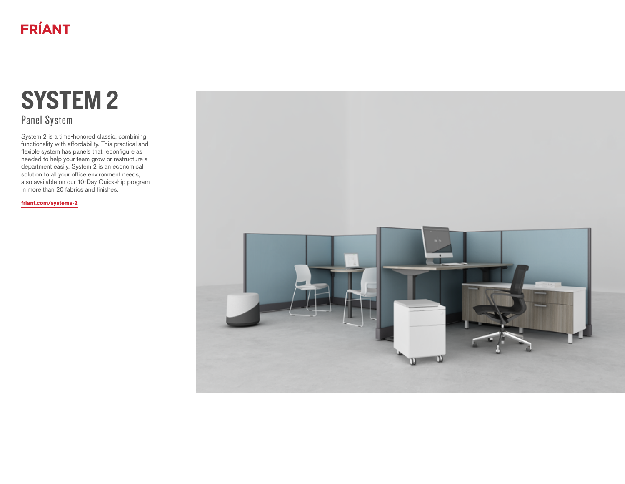# **FRÍANT**

# SYSTEM 2 Panel System

System 2 is a time-honored classic, combining functionality with affordability. This practical and flexible system has panels that reconfigure as needed to help your team grow or restructure a department easily. System 2 is an economical solution to all your office environment needs, also available on our 10-Day Quickship program in more than 20 fabrics and finishes.

**[friant.com/systems-2](http://friant.com/systems-2)**